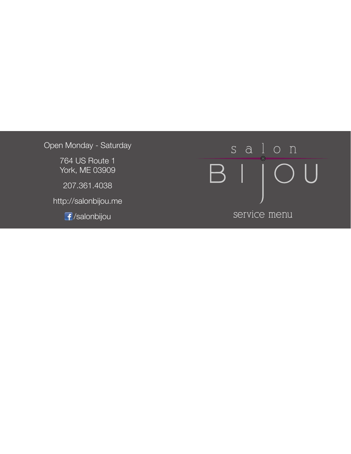